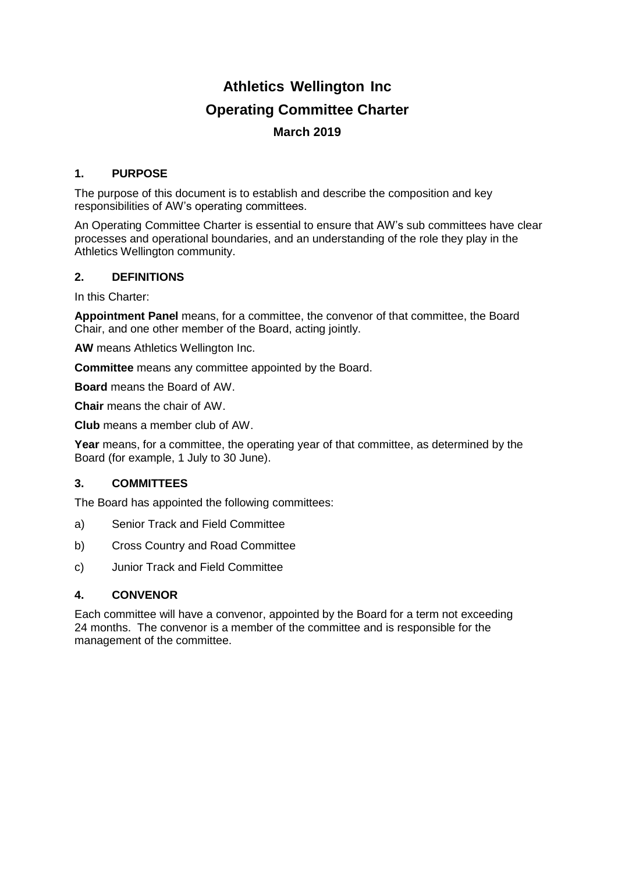# **Athletics Wellington Inc Operating Committee Charter March 2019**

## **1. PURPOSE**

The purpose of this document is to establish and describe the composition and key responsibilities of AW's operating committees.

An Operating Committee Charter is essential to ensure that AW's sub committees have clear processes and operational boundaries, and an understanding of the role they play in the Athletics Wellington community.

## **2. DEFINITIONS**

In this Charter:

**Appointment Panel** means, for a committee, the convenor of that committee, the Board Chair, and one other member of the Board, acting jointly.

**AW** means Athletics Wellington Inc.

**Committee** means any committee appointed by the Board.

**Board** means the Board of AW.

**Chair** means the chair of AW.

**Club** means a member club of AW.

**Year** means, for a committee, the operating year of that committee, as determined by the Board (for example, 1 July to 30 June).

## **3. COMMITTEES**

The Board has appointed the following committees:

- a) Senior Track and Field Committee
- b) Cross Country and Road Committee
- c) Junior Track and Field Committee

## **4. CONVENOR**

Each committee will have a convenor, appointed by the Board for a term not exceeding 24 months. The convenor is a member of the committee and is responsible for the management of the committee.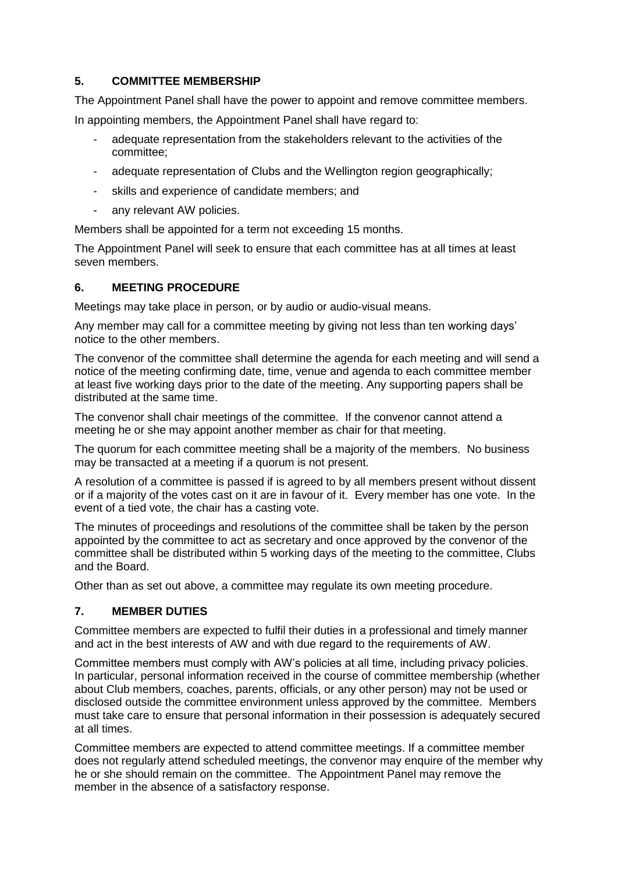# **5. COMMITTEE MEMBERSHIP**

The Appointment Panel shall have the power to appoint and remove committee members.

In appointing members, the Appointment Panel shall have regard to:

- adequate representation from the stakeholders relevant to the activities of the committee;
- adequate representation of Clubs and the Wellington region geographically;
- skills and experience of candidate members; and
- any relevant AW policies.

Members shall be appointed for a term not exceeding 15 months.

The Appointment Panel will seek to ensure that each committee has at all times at least seven members.

## **6. MEETING PROCEDURE**

Meetings may take place in person, or by audio or audio-visual means.

Any member may call for a committee meeting by giving not less than ten working days' notice to the other members.

The convenor of the committee shall determine the agenda for each meeting and will send a notice of the meeting confirming date, time, venue and agenda to each committee member at least five working days prior to the date of the meeting. Any supporting papers shall be distributed at the same time.

The convenor shall chair meetings of the committee. If the convenor cannot attend a meeting he or she may appoint another member as chair for that meeting.

The quorum for each committee meeting shall be a majority of the members. No business may be transacted at a meeting if a quorum is not present.

A resolution of a committee is passed if is agreed to by all members present without dissent or if a majority of the votes cast on it are in favour of it. Every member has one vote. In the event of a tied vote, the chair has a casting vote.

The minutes of proceedings and resolutions of the committee shall be taken by the person appointed by the committee to act as secretary and once approved by the convenor of the committee shall be distributed within 5 working days of the meeting to the committee, Clubs and the Board.

Other than as set out above, a committee may regulate its own meeting procedure.

# **7. MEMBER DUTIES**

Committee members are expected to fulfil their duties in a professional and timely manner and act in the best interests of AW and with due regard to the requirements of AW.

Committee members must comply with AW's policies at all time, including privacy policies. In particular, personal information received in the course of committee membership (whether about Club members, coaches, parents, officials, or any other person) may not be used or disclosed outside the committee environment unless approved by the committee. Members must take care to ensure that personal information in their possession is adequately secured at all times.

Committee members are expected to attend committee meetings. If a committee member does not regularly attend scheduled meetings, the convenor may enquire of the member why he or she should remain on the committee. The Appointment Panel may remove the member in the absence of a satisfactory response.